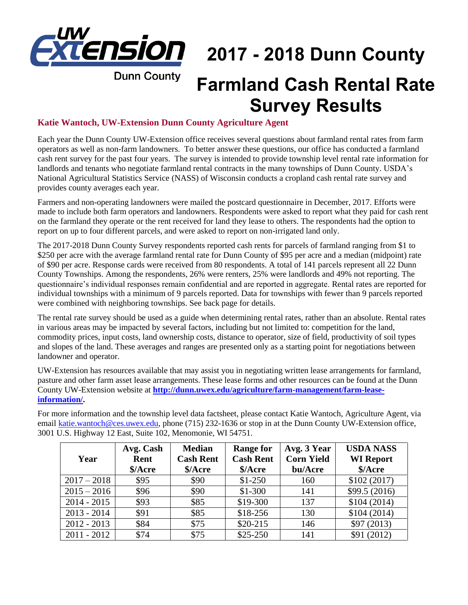

## **2017 - 2018 Dunn County**

**Dunn County** 

## **Farmland Cash Rental Rate Survey Results**

## **Katie Wantoch, UW-Extension Dunn County Agriculture Agent**

Each year the Dunn County UW-Extension office receives several questions about farmland rental rates from farm operators as well as non-farm landowners. To better answer these questions, our office has conducted a farmland cash rent survey for the past four years. The survey is intended to provide township level rental rate information for landlords and tenants who negotiate farmland rental contracts in the many townships of Dunn County. USDA's National Agricultural Statistics Service (NASS) of Wisconsin conducts a cropland cash rental rate survey and provides county averages each year.

Farmers and non-operating landowners were mailed the postcard questionnaire in December, 2017. Efforts were made to include both farm operators and landowners. Respondents were asked to report what they paid for cash rent on the farmland they operate or the rent received for land they lease to others. The respondents had the option to report on up to four different parcels, and were asked to report on non-irrigated land only.

The 2017-2018 Dunn County Survey respondents reported cash rents for parcels of farmland ranging from \$1 to \$250 per acre with the average farmland rental rate for Dunn County of \$95 per acre and a median (midpoint) rate of \$90 per acre. Response cards were received from 80 respondents. A total of 141 parcels represent all 22 Dunn County Townships. Among the respondents, 26% were renters, 25% were landlords and 49% not reporting. The questionnaire's individual responses remain confidential and are reported in aggregate. Rental rates are reported for individual townships with a minimum of 9 parcels reported. Data for townships with fewer than 9 parcels reported were combined with neighboring townships. See back page for details.

The rental rate survey should be used as a guide when determining rental rates, rather than an absolute. Rental rates in various areas may be impacted by several factors, including but not limited to: competition for the land, commodity prices, input costs, land ownership costs, distance to operator, size of field, productivity of soil types and slopes of the land. These averages and ranges are presented only as a starting point for negotiations between landowner and operator.

UW-Extension has resources available that may assist you in negotiating written lease arrangements for farmland, pasture and other farm asset lease arrangements. These lease forms and other resources can be found at the Dunn County UW-Extension website at **[http://dunn.uwex.edu/agriculture/farm-management/farm-lease](http://dunn.uwex.edu/agriculture/farm-management/farm-lease-information/)[information/.](http://dunn.uwex.edu/agriculture/farm-management/farm-lease-information/)**

For more information and the township level data factsheet, please contact Katie Wantoch, Agriculture Agent, via email [katie.wantoch@ces.uwex.edu,](mailto:katie.wantoch@ces.uwex.edu) phone (715) 232-1636 or stop in at the Dunn County UW-Extension office, 3001 U.S. Highway 12 East, Suite 102, Menomonie, WI 54751.

| Year          | Avg. Cash<br>Rent<br>\$/Acre | <b>Median</b><br><b>Cash Rent</b><br>\$/Acre | <b>Range for</b><br><b>Cash Rent</b><br>\$/Acre | Avg. 3 Year<br><b>Corn Yield</b><br>bu/Acre | <b>USDA NASS</b><br><b>WI</b> Report<br>\$/Acre |
|---------------|------------------------------|----------------------------------------------|-------------------------------------------------|---------------------------------------------|-------------------------------------------------|
| $2017 - 2018$ | \$95                         | \$90                                         | $$1-250$                                        | 160                                         | \$102(2017)                                     |
| $2015 - 2016$ | \$96                         | \$90                                         | $$1-300$                                        | 141                                         | \$99.5(2016)                                    |
| $2014 - 2015$ | \$93                         | \$85                                         | \$19-300                                        | 137                                         | \$104(2014)                                     |
| $2013 - 2014$ | \$91                         | \$85                                         | \$18-256                                        | 130                                         | \$104(2014)                                     |
| $2012 - 2013$ | \$84                         | \$75                                         | $$20-215$                                       | 146                                         | \$97(2013)                                      |
| $2011 - 2012$ | \$74                         | \$75                                         | $$25-250$                                       | 141                                         | \$91(2012)                                      |